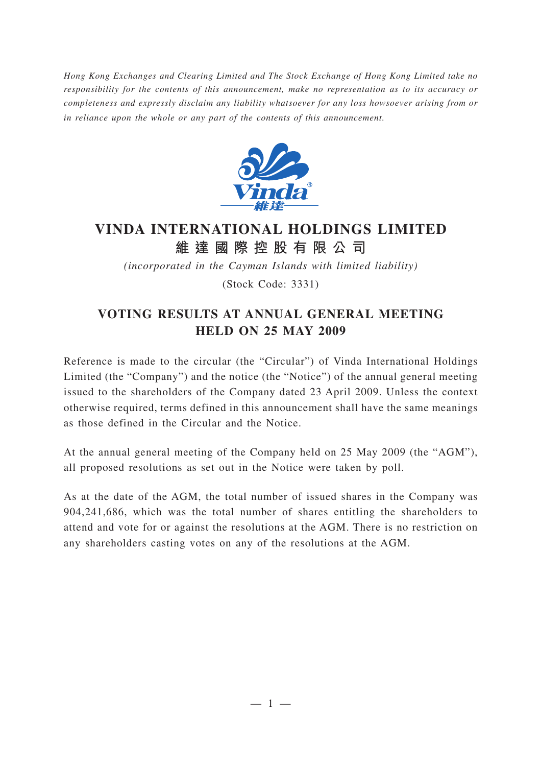*Hong Kong Exchanges and Clearing Limited and The Stock Exchange of Hong Kong Limited take no responsibility for the contents of this announcement, make no representation as to its accuracy or completeness and expressly disclaim any liability whatsoever for any loss howsoever arising from or in reliance upon the whole or any part of the contents of this announcement.*



## **VINDA INTERNATIONAL HOLDINGS LIMITED 維達國際控股有限公司**

*(incorporated in the Cayman Islands with limited liability)*

(Stock Code: 3331)

## **VOTING RESULTS AT ANNUAL GENERAL MEETING HELD ON 25 MAY 2009**

Reference is made to the circular (the "Circular") of Vinda International Holdings Limited (the "Company") and the notice (the "Notice") of the annual general meeting issued to the shareholders of the Company dated 23 April 2009. Unless the context otherwise required, terms defined in this announcement shall have the same meanings as those defined in the Circular and the Notice.

At the annual general meeting of the Company held on 25 May 2009 (the "AGM"), all proposed resolutions as set out in the Notice were taken by poll.

As at the date of the AGM, the total number of issued shares in the Company was 904,241,686, which was the total number of shares entitling the shareholders to attend and vote for or against the resolutions at the AGM. There is no restriction on any shareholders casting votes on any of the resolutions at the AGM.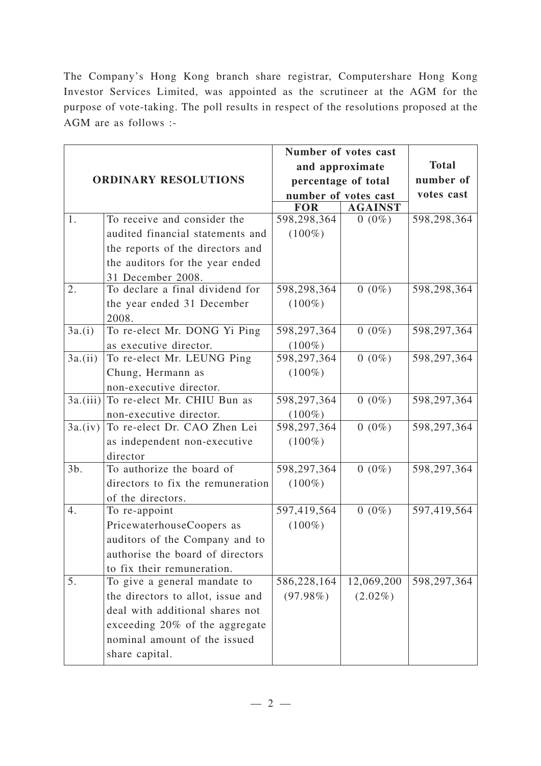The Company's Hong Kong branch share registrar, Computershare Hong Kong Investor Services Limited, was appointed as the scrutineer at the AGM for the purpose of vote-taking. The poll results in respect of the resolutions proposed at the AGM are as follows :-

| <b>ORDINARY RESOLUTIONS</b> |                                   | Number of votes cast |                |              |
|-----------------------------|-----------------------------------|----------------------|----------------|--------------|
|                             |                                   | and approximate      |                | <b>Total</b> |
|                             |                                   | percentage of total  |                | number of    |
|                             |                                   | number of votes cast |                | votes cast   |
|                             |                                   | <b>FOR</b>           | <b>AGAINST</b> |              |
| 1.                          | To receive and consider the       | 598,298,364          | $0(0\%)$       | 598,298,364  |
|                             | audited financial statements and  | $(100\%)$            |                |              |
|                             | the reports of the directors and  |                      |                |              |
|                             | the auditors for the year ended   |                      |                |              |
|                             | 31 December 2008.                 |                      |                |              |
| 2.                          | To declare a final dividend for   | 598,298,364          | $0(0\%)$       | 598,298,364  |
|                             | the year ended 31 December        | $(100\%)$            |                |              |
|                             | 2008.                             |                      |                |              |
| 3a.(i)                      | To re-elect Mr. DONG Yi Ping      | 598,297,364          | $0(0\%)$       | 598,297,364  |
|                             | as executive director.            | $(100\%)$            |                |              |
| 3a.(ii)                     | To re-elect Mr. LEUNG Ping        | 598,297,364          | $0(0\%)$       | 598,297,364  |
|                             | Chung, Hermann as                 | $(100\%)$            |                |              |
|                             | non-executive director.           |                      |                |              |
| 3a.(iii)                    | To re-elect Mr. CHIU Bun as       | 598,297,364          | $0(0\%)$       | 598,297,364  |
|                             | non-executive director.           | $(100\%)$            |                |              |
| 3a.(iv)                     | To re-elect Dr. CAO Zhen Lei      | 598,297,364          | $0(0\%)$       | 598,297,364  |
|                             | as independent non-executive      | $(100\%)$            |                |              |
|                             | director                          |                      |                |              |
| $3b$ .                      | To authorize the board of         | 598,297,364          | $0(0\%)$       | 598,297,364  |
|                             | directors to fix the remuneration | $(100\%)$            |                |              |
|                             | of the directors.                 |                      |                |              |
| 4.                          | To re-appoint                     | 597,419,564          | $0(0\%)$       | 597,419,564  |
|                             | PricewaterhouseCoopers as         | $(100\%)$            |                |              |
|                             | auditors of the Company and to    |                      |                |              |
|                             | authorise the board of directors  |                      |                |              |
|                             | to fix their remuneration.        |                      |                |              |
| 5.                          | To give a general mandate to      | 586,228,164          | 12,069,200     | 598,297,364  |
|                             | the directors to allot, issue and | $(97.98\%)$          | $(2.02\%)$     |              |
|                             | deal with additional shares not   |                      |                |              |
|                             | exceeding 20% of the aggregate    |                      |                |              |
|                             | nominal amount of the issued      |                      |                |              |
|                             | share capital.                    |                      |                |              |
|                             |                                   |                      |                |              |